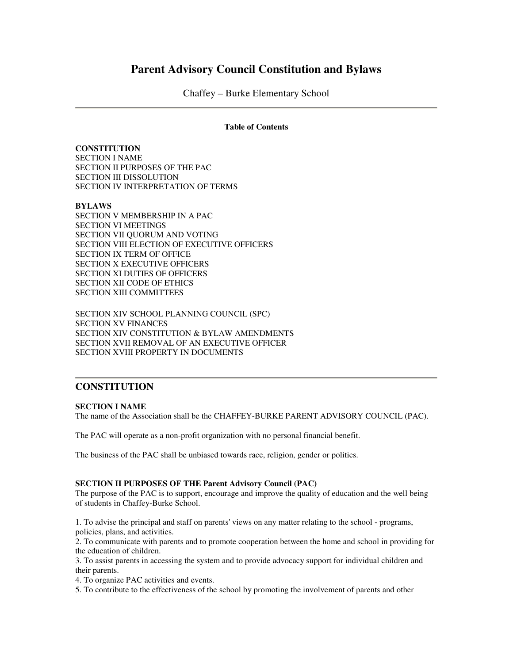# **Parent Advisory Council Constitution and Bylaws**

Chaffey – Burke Elementary School

#### **Table of Contents**

**CONSTITUTION** SECTION I NAME SECTION II PURPOSES OF THE PAC SECTION III DISSOLUTION SECTION IV INTERPRETATION OF TERMS

### **BYLAWS**

SECTION V MEMBERSHIP IN A PAC SECTION VI MEETINGS SECTION VII QUORUM AND VOTING SECTION VIII ELECTION OF EXECUTIVE OFFICERS SECTION IX TERM OF OFFICE SECTION X EXECUTIVE OFFICERS SECTION XI DUTIES OF OFFICERS SECTION XII CODE OF ETHICS SECTION XIII COMMITTEES

SECTION XIV SCHOOL PLANNING COUNCIL (SPC) SECTION XV FINANCES SECTION XIV CONSTITUTION & BYLAW AMENDMENTS SECTION XVII REMOVAL OF AN EXECUTIVE OFFICER SECTION XVIII PROPERTY IN DOCUMENTS

# **CONSTITUTION**

#### **SECTION I NAME**

The name of the Association shall be the CHAFFEY-BURKE PARENT ADVISORY COUNCIL (PAC).

The PAC will operate as a non-profit organization with no personal financial benefit.

The business of the PAC shall be unbiased towards race, religion, gender or politics.

#### **SECTION II PURPOSES OF THE Parent Advisory Council (PAC)**

The purpose of the PAC is to support, encourage and improve the quality of education and the well being of students in Chaffey-Burke School.

1. To advise the principal and staff on parents' views on any matter relating to the school - programs, policies, plans, and activities.

2. To communicate with parents and to promote cooperation between the home and school in providing for the education of children.

3. To assist parents in accessing the system and to provide advocacy support for individual children and their parents.

4. To organize PAC activities and events.

5. To contribute to the effectiveness of the school by promoting the involvement of parents and other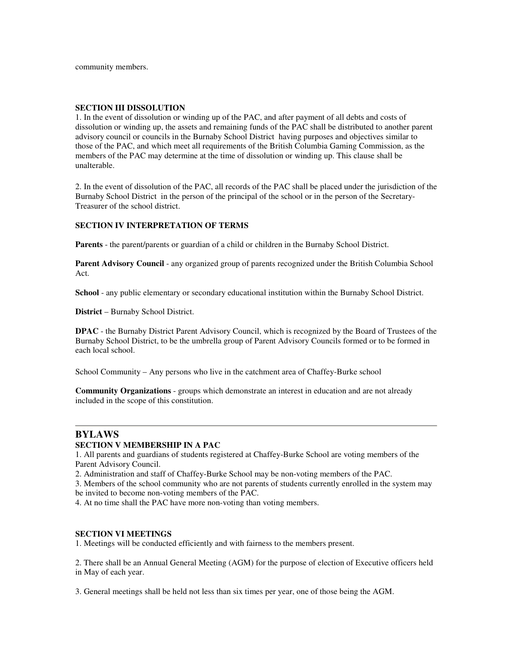#### **SECTION III DISSOLUTION**

1. In the event of dissolution or winding up of the PAC, and after payment of all debts and costs of dissolution or winding up, the assets and remaining funds of the PAC shall be distributed to another parent advisory council or councils in the Burnaby School District having purposes and objectives similar to those of the PAC, and which meet all requirements of the British Columbia Gaming Commission, as the members of the PAC may determine at the time of dissolution or winding up. This clause shall be unalterable.

2. In the event of dissolution of the PAC, all records of the PAC shall be placed under the jurisdiction of the Burnaby School District in the person of the principal of the school or in the person of the Secretary-Treasurer of the school district.

### **SECTION IV INTERPRETATION OF TERMS**

**Parents** - the parent/parents or guardian of a child or children in the Burnaby School District.

**Parent Advisory Council** - any organized group of parents recognized under the British Columbia School Act.

**School** - any public elementary or secondary educational institution within the Burnaby School District.

**District** – Burnaby School District.

**DPAC** - the Burnaby District Parent Advisory Council, which is recognized by the Board of Trustees of the Burnaby School District, to be the umbrella group of Parent Advisory Councils formed or to be formed in each local school.

School Community – Any persons who live in the catchment area of Chaffey-Burke school

**Community Organizations** - groups which demonstrate an interest in education and are not already included in the scope of this constitution.

# **BYLAWS**

#### **SECTION V MEMBERSHIP IN A PAC**

1. All parents and guardians of students registered at Chaffey-Burke School are voting members of the Parent Advisory Council.

2. Administration and staff of Chaffey-Burke School may be non-voting members of the PAC.

3. Members of the school community who are not parents of students currently enrolled in the system may be invited to become non-voting members of the PAC.

4. At no time shall the PAC have more non-voting than voting members.

#### **SECTION VI MEETINGS**

1. Meetings will be conducted efficiently and with fairness to the members present.

2. There shall be an Annual General Meeting (AGM) for the purpose of election of Executive officers held in May of each year.

3. General meetings shall be held not less than six times per year, one of those being the AGM.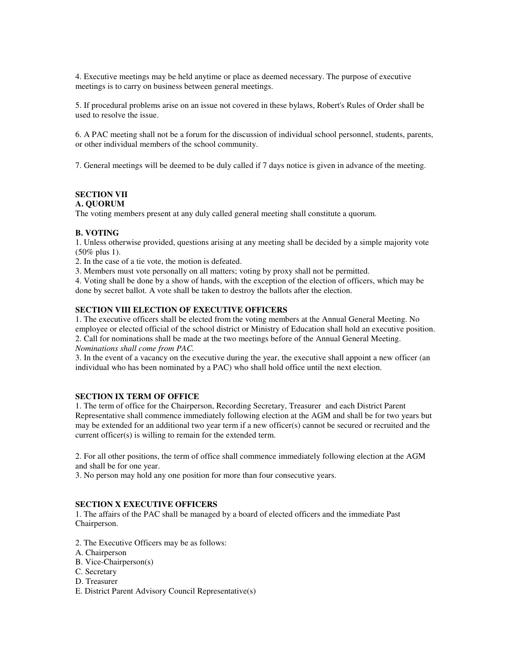4. Executive meetings may be held anytime or place as deemed necessary. The purpose of executive meetings is to carry on business between general meetings.

5. If procedural problems arise on an issue not covered in these bylaws, Robert's Rules of Order shall be used to resolve the issue.

6. A PAC meeting shall not be a forum for the discussion of individual school personnel, students, parents, or other individual members of the school community.

7. General meetings will be deemed to be duly called if 7 days notice is given in advance of the meeting.

# **SECTION VII**

# **A. QUORUM**

The voting members present at any duly called general meeting shall constitute a quorum.

### **B. VOTING**

1. Unless otherwise provided, questions arising at any meeting shall be decided by a simple majority vote (50% plus 1).

2. In the case of a tie vote, the motion is defeated.

3. Members must vote personally on all matters; voting by proxy shall not be permitted.

4. Voting shall be done by a show of hands, with the exception of the election of officers, which may be done by secret ballot. A vote shall be taken to destroy the ballots after the election.

## **SECTION VIII ELECTION OF EXECUTIVE OFFICERS**

1. The executive officers shall be elected from the voting members at the Annual General Meeting. No employee or elected official of the school district or Ministry of Education shall hold an executive position. 2. Call for nominations shall be made at the two meetings before of the Annual General Meeting. *Nominations shall come from PAC.*

3. In the event of a vacancy on the executive during the year, the executive shall appoint a new officer (an individual who has been nominated by a PAC) who shall hold office until the next election.

## **SECTION IX TERM OF OFFICE**

1. The term of office for the Chairperson, Recording Secretary, Treasurer and each District Parent Representative shall commence immediately following election at the AGM and shall be for two years but may be extended for an additional two year term if a new officer(s) cannot be secured or recruited and the current officer(s) is willing to remain for the extended term.

2. For all other positions, the term of office shall commence immediately following election at the AGM and shall be for one year.

3. No person may hold any one position for more than four consecutive years.

### **SECTION X EXECUTIVE OFFICERS**

1. The affairs of the PAC shall be managed by a board of elected officers and the immediate Past Chairperson.

- 2. The Executive Officers may be as follows:
- A. Chairperson
- B. Vice-Chairperson(s)
- C. Secretary
- D. Treasurer
- E. District Parent Advisory Council Representative(s)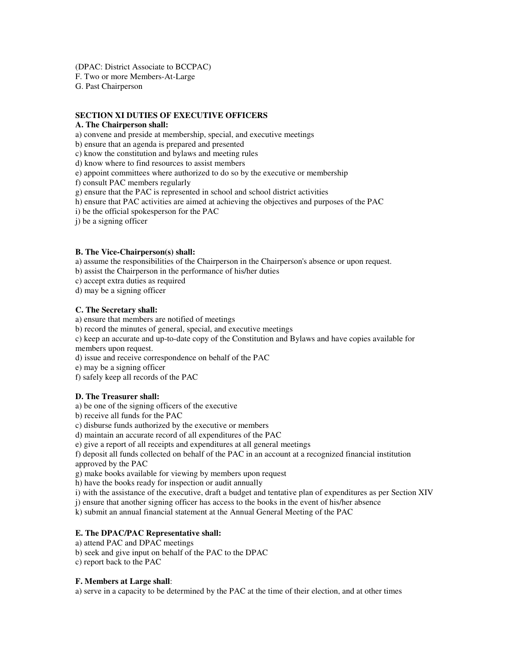(DPAC: District Associate to BCCPAC)

F. Two or more Members-At-Large

G. Past Chairperson

## **SECTION XI DUTIES OF EXECUTIVE OFFICERS**

## **A. The Chairperson shall:**

a) convene and preside at membership, special, and executive meetings

b) ensure that an agenda is prepared and presented

c) know the constitution and bylaws and meeting rules

d) know where to find resources to assist members

e) appoint committees where authorized to do so by the executive or membership

f) consult PAC members regularly

g) ensure that the PAC is represented in school and school district activities

h) ensure that PAC activities are aimed at achieving the objectives and purposes of the PAC

i) be the official spokesperson for the PAC

j) be a signing officer

### **B. The Vice-Chairperson(s) shall:**

a) assume the responsibilities of the Chairperson in the Chairperson's absence or upon request.

b) assist the Chairperson in the performance of his/her duties

c) accept extra duties as required

d) may be a signing officer

### **C. The Secretary shall:**

a) ensure that members are notified of meetings

b) record the minutes of general, special, and executive meetings

c) keep an accurate and up-to-date copy of the Constitution and Bylaws and have copies available for members upon request.

d) issue and receive correspondence on behalf of the PAC

e) may be a signing officer

f) safely keep all records of the PAC

## **D. The Treasurer shall:**

a) be one of the signing officers of the executive

b) receive all funds for the PAC

c) disburse funds authorized by the executive or members

d) maintain an accurate record of all expenditures of the PAC

e) give a report of all receipts and expenditures at all general meetings

f) deposit all funds collected on behalf of the PAC in an account at a recognized financial institution approved by the PAC

g) make books available for viewing by members upon request

h) have the books ready for inspection or audit annually

i) with the assistance of the executive, draft a budget and tentative plan of expenditures as per Section XIV

j) ensure that another signing officer has access to the books in the event of his/her absence

k) submit an annual financial statement at the Annual General Meeting of the PAC

## **E. The DPAC/PAC Representative shall:**

a) attend PAC and DPAC meetings

b) seek and give input on behalf of the PAC to the DPAC

c) report back to the PAC

## **F. Members at Large shall**:

a) serve in a capacity to be determined by the PAC at the time of their election, and at other times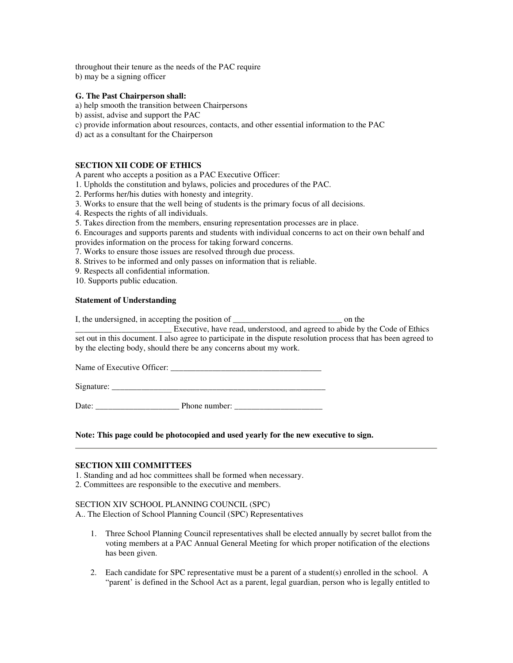throughout their tenure as the needs of the PAC require b) may be a signing officer

#### **G. The Past Chairperson shall:**

a) help smooth the transition between Chairpersons

b) assist, advise and support the PAC

c) provide information about resources, contacts, and other essential information to the PAC

d) act as a consultant for the Chairperson

#### **SECTION XII CODE OF ETHICS**

A parent who accepts a position as a PAC Executive Officer:

1. Upholds the constitution and bylaws, policies and procedures of the PAC.

2. Performs her/his duties with honesty and integrity.

3. Works to ensure that the well being of students is the primary focus of all decisions.

4. Respects the rights of all individuals.

5. Takes direction from the members, ensuring representation processes are in place.

6. Encourages and supports parents and students with individual concerns to act on their own behalf and provides information on the process for taking forward concerns.

7. Works to ensure those issues are resolved through due process.

8. Strives to be informed and only passes on information that is reliable.

9. Respects all confidential information.

10. Supports public education.

#### **Statement of Understanding**

I, the undersigned, in accepting the position of \_\_\_\_\_\_\_\_\_\_\_\_\_\_\_\_\_\_\_\_\_\_\_\_\_\_\_\_\_\_\_\_ on the

\_\_\_\_\_\_\_\_\_\_\_\_\_\_\_\_\_\_\_\_\_\_\_ Executive, have read, understood, and agreed to abide by the Code of Ethics set out in this document. I also agree to participate in the dispute resolution process that has been agreed to by the electing body, should there be any concerns about my work.

Name of Executive Officer: \_\_\_\_\_\_\_\_\_\_\_\_\_\_\_\_\_\_\_\_\_\_\_\_\_\_\_\_\_\_\_\_\_\_\_\_

Signature:

Date: \_\_\_\_\_\_\_\_\_\_\_\_\_\_\_\_\_\_\_\_ Phone number: \_\_\_\_\_\_\_\_\_\_\_\_\_\_\_\_\_\_\_\_\_

**Note: This page could be photocopied and used yearly for the new executive to sign.**

#### **SECTION XIII COMMITTEES**

1. Standing and ad hoc committees shall be formed when necessary.

2. Committees are responsible to the executive and members.

#### SECTION XIV SCHOOL PLANNING COUNCIL (SPC)

A.. The Election of School Planning Council (SPC) Representatives

- 1. Three School Planning Council representatives shall be elected annually by secret ballot from the voting members at a PAC Annual General Meeting for which proper notification of the elections has been given.
- 2. Each candidate for SPC representative must be a parent of a student(s) enrolled in the school. A "parent' is defined in the School Act as a parent, legal guardian, person who is legally entitled to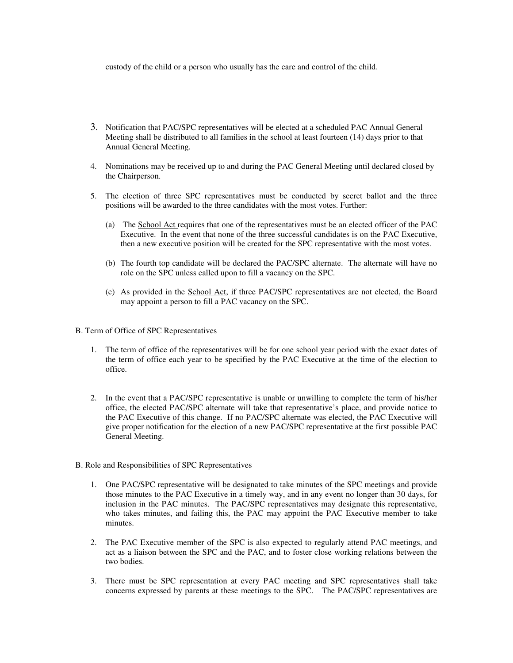custody of the child or a person who usually has the care and control of the child.

- 3. Notification that PAC/SPC representatives will be elected at a scheduled PAC Annual General Meeting shall be distributed to all families in the school at least fourteen (14) days prior to that Annual General Meeting.
- 4. Nominations may be received up to and during the PAC General Meeting until declared closed by the Chairperson.
- 5. The election of three SPC representatives must be conducted by secret ballot and the three positions will be awarded to the three candidates with the most votes. Further:
	- (a) The School Act requires that one of the representatives must be an elected officer of the PAC Executive. In the event that none of the three successful candidates is on the PAC Executive, then a new executive position will be created for the SPC representative with the most votes.
	- (b) The fourth top candidate will be declared the PAC/SPC alternate. The alternate will have no role on the SPC unless called upon to fill a vacancy on the SPC.
	- (c) As provided in the School Act, if three PAC/SPC representatives are not elected, the Board may appoint a person to fill a PAC vacancy on the SPC.
- B. Term of Office of SPC Representatives
	- 1. The term of office of the representatives will be for one school year period with the exact dates of the term of office each year to be specified by the PAC Executive at the time of the election to office.
	- 2. In the event that a PAC/SPC representative is unable or unwilling to complete the term of his/her office, the elected PAC/SPC alternate will take that representative's place, and provide notice to the PAC Executive of this change. If no PAC/SPC alternate was elected, the PAC Executive will give proper notification for the election of a new PAC/SPC representative at the first possible PAC General Meeting.
- B. Role and Responsibilities of SPC Representatives
	- 1. One PAC/SPC representative will be designated to take minutes of the SPC meetings and provide those minutes to the PAC Executive in a timely way, and in any event no longer than 30 days, for inclusion in the PAC minutes. The PAC/SPC representatives may designate this representative, who takes minutes, and failing this, the PAC may appoint the PAC Executive member to take minutes.
	- 2. The PAC Executive member of the SPC is also expected to regularly attend PAC meetings, and act as a liaison between the SPC and the PAC, and to foster close working relations between the two bodies.
	- 3. There must be SPC representation at every PAC meeting and SPC representatives shall take concerns expressed by parents at these meetings to the SPC. The PAC/SPC representatives are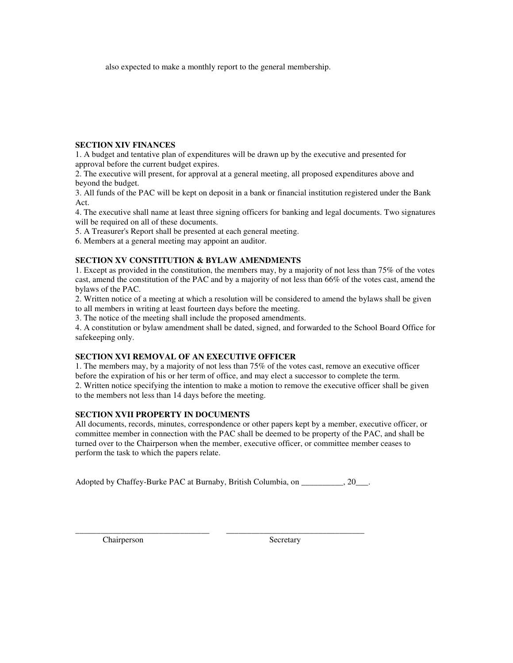also expected to make a monthly report to the general membership.

# **SECTION XIV FINANCES**

1. A budget and tentative plan of expenditures will be drawn up by the executive and presented for approval before the current budget expires.

2. The executive will present, for approval at a general meeting, all proposed expenditures above and beyond the budget.

3. All funds of the PAC will be kept on deposit in a bank or financial institution registered under the Bank Act.

4. The executive shall name at least three signing officers for banking and legal documents. Two signatures will be required on all of these documents.

5. A Treasurer's Report shall be presented at each general meeting.

6. Members at a general meeting may appoint an auditor.

# **SECTION XV CONSTITUTION & BYLAW AMENDMENTS**

1. Except as provided in the constitution, the members may, by a majority of not less than 75% of the votes cast, amend the constitution of the PAC and by a majority of not less than 66% of the votes cast, amend the bylaws of the PAC.

2. Written notice of a meeting at which a resolution will be considered to amend the bylaws shall be given to all members in writing at least fourteen days before the meeting.

3. The notice of the meeting shall include the proposed amendments.

4. A constitution or bylaw amendment shall be dated, signed, and forwarded to the School Board Office for safekeeping only.

# **SECTION XVI REMOVAL OF AN EXECUTIVE OFFICER**

1. The members may, by a majority of not less than 75% of the votes cast, remove an executive officer before the expiration of his or her term of office, and may elect a successor to complete the term. 2. Written notice specifying the intention to make a motion to remove the executive officer shall be given to the members not less than 14 days before the meeting.

## **SECTION XVII PROPERTY IN DOCUMENTS**

All documents, records, minutes, correspondence or other papers kept by a member, executive officer, or committee member in connection with the PAC shall be deemed to be property of the PAC, and shall be turned over to the Chairperson when the member, executive officer, or committee member ceases to perform the task to which the papers relate.

Adopted by Chaffey-Burke PAC at Burnaby, British Columbia, on \_\_\_\_\_\_\_\_\_, 20\_\_\_.

\_\_\_\_\_\_\_\_\_\_\_\_\_\_\_\_\_\_\_\_\_\_\_\_\_\_\_\_\_\_\_\_ \_\_\_\_\_\_\_\_\_\_\_\_\_\_\_\_\_\_\_\_\_\_\_\_\_\_\_\_\_\_\_\_\_

Chairperson Secretary